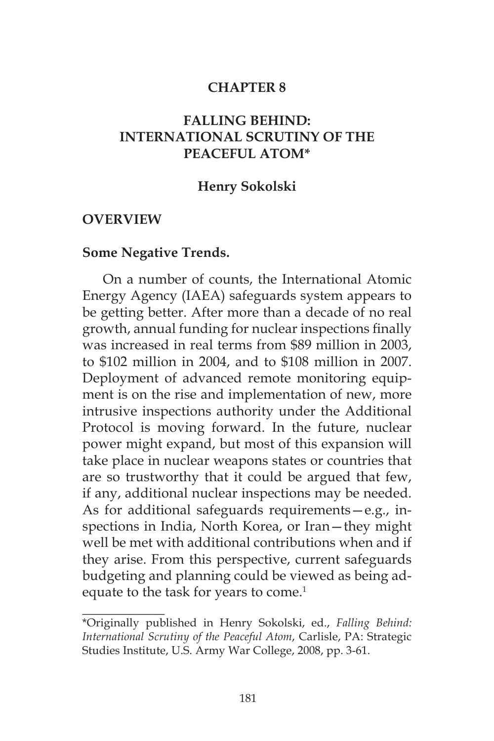#### **CHAPTER 8**

## **FALLING BEHIND: INTERNATIONAL SCRUTINY OF THE PEACEFUL ATOM\***

#### **Henry Sokolski**

#### **OVERVIEW**

 $\overline{\phantom{a}}$ 

#### **Some Negative Trends.**

On a number of counts, the International Atomic Energy Agency (IAEA) safeguards system appears to be getting better. After more than a decade of no real growth, annual funding for nuclear inspections finally was increased in real terms from \$89 million in 2003, to \$102 million in 2004, and to \$108 million in 2007. Deployment of advanced remote monitoring equipment is on the rise and implementation of new, more intrusive inspections authority under the Additional Protocol is moving forward. In the future, nuclear power might expand, but most of this expansion will take place in nuclear weapons states or countries that are so trustworthy that it could be argued that few, if any, additional nuclear inspections may be needed. As for additional safeguards requirements—e.g., inspections in India, North Korea, or Iran—they might well be met with additional contributions when and if they arise. From this perspective, current safeguards budgeting and planning could be viewed as being adequate to the task for years to come.<sup>1</sup>

<sup>\*</sup>Originally published in Henry Sokolski, ed., *Falling Behind: International Scrutiny of the Peaceful Atom*, Carlisle, PA: Strategic Studies Institute, U.S. Army War College, 2008, pp. 3-61.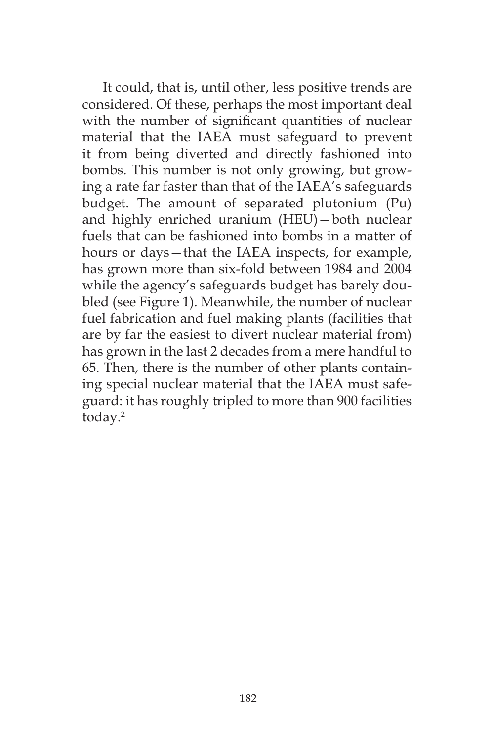It could, that is, until other, less positive trends are considered. Of these, perhaps the most important deal with the number of significant quantities of nuclear material that the IAEA must safeguard to prevent it from being diverted and directly fashioned into bombs. This number is not only growing, but growing a rate far faster than that of the IAEA's safeguards budget. The amount of separated plutonium (Pu) and highly enriched uranium (HEU)—both nuclear fuels that can be fashioned into bombs in a matter of hours or days—that the IAEA inspects, for example, has grown more than six-fold between 1984 and 2004 while the agency's safeguards budget has barely doubled (see Figure 1). Meanwhile, the number of nuclear fuel fabrication and fuel making plants (facilities that are by far the easiest to divert nuclear material from) has grown in the last 2 decades from a mere handful to 65. Then, there is the number of other plants containing special nuclear material that the IAEA must safeguard: it has roughly tripled to more than 900 facilities today.2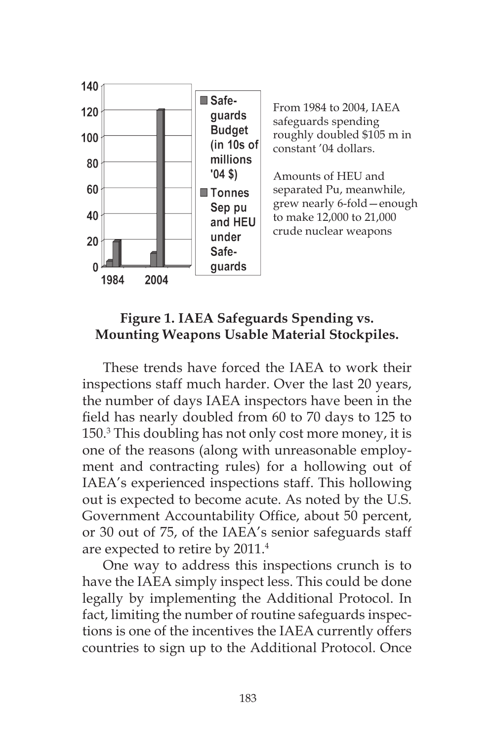

From 1984 to 2004, IAEA safeguards spending roughly doubled \$105 m in constant '04 dollars.

Amounts of HEU and separated Pu, meanwhile, grew nearly 6-fold—enough to make 12,000 to 21,000 crude nuclear weapons

### **Figure 1. IAEA Safeguards Spending vs. Mounting Weapons Usable Material Stockpiles.**

These trends have forced the IAEA to work their inspections staff much harder. Over the last 20 years, the number of days IAEA inspectors have been in the field has nearly doubled from 60 to 70 days to 125 to 150.3 This doubling has not only cost more money, it is one of the reasons (along with unreasonable employment and contracting rules) for a hollowing out of IAEA's experienced inspections staff. This hollowing out is expected to become acute. As noted by the U.S. Government Accountability Office, about 50 percent, or 30 out of 75, of the IAEA's senior safeguards staff are expected to retire by 2011.4

One way to address this inspections crunch is to have the IAEA simply inspect less. This could be done legally by implementing the Additional Protocol. In fact, limiting the number of routine safeguards inspections is one of the incentives the IAEA currently offers countries to sign up to the Additional Protocol. Once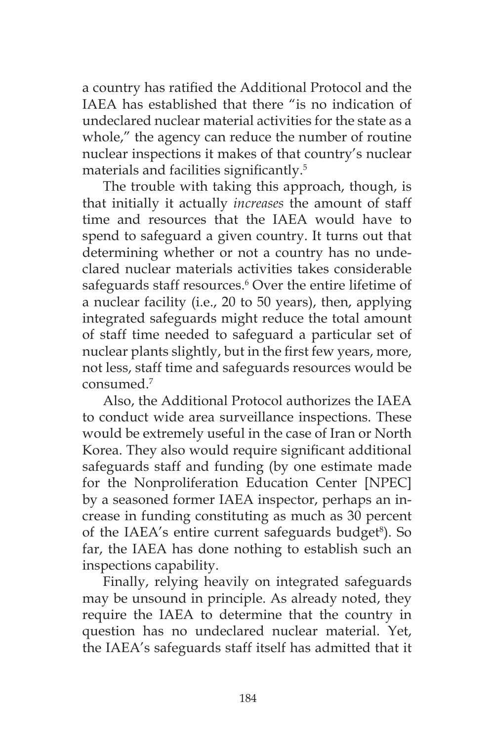a country has ratified the Additional Protocol and the IAEA has established that there "is no indication of undeclared nuclear material activities for the state as a whole," the agency can reduce the number of routine nuclear inspections it makes of that country's nuclear materials and facilities significantly.5

The trouble with taking this approach, though, is that initially it actually *increases* the amount of staff time and resources that the IAEA would have to spend to safeguard a given country. It turns out that determining whether or not a country has no undeclared nuclear materials activities takes considerable safeguards staff resources.<sup>6</sup> Over the entire lifetime of a nuclear facility (i.e., 20 to 50 years), then, applying integrated safeguards might reduce the total amount of staff time needed to safeguard a particular set of nuclear plants slightly, but in the first few years, more, not less, staff time and safeguards resources would be consumed.7

Also, the Additional Protocol authorizes the IAEA to conduct wide area surveillance inspections. These would be extremely useful in the case of Iran or North Korea. They also would require significant additional safeguards staff and funding (by one estimate made for the Nonproliferation Education Center [NPEC] by a seasoned former IAEA inspector, perhaps an increase in funding constituting as much as 30 percent of the IAEA's entire current safeguards budget<sup>8</sup>). So far, the IAEA has done nothing to establish such an inspections capability.

Finally, relying heavily on integrated safeguards may be unsound in principle. As already noted, they require the IAEA to determine that the country in question has no undeclared nuclear material. Yet, the IAEA's safeguards staff itself has admitted that it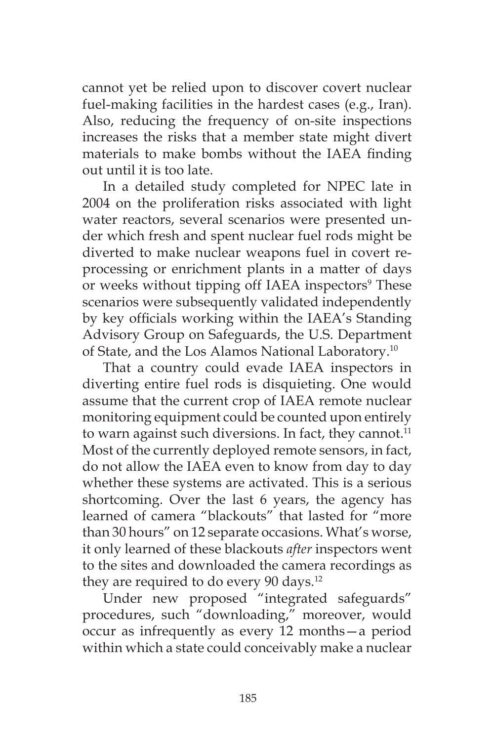cannot yet be relied upon to discover covert nuclear fuel-making facilities in the hardest cases (e.g., Iran). Also, reducing the frequency of on-site inspections increases the risks that a member state might divert materials to make bombs without the IAEA finding out until it is too late.

In a detailed study completed for NPEC late in 2004 on the proliferation risks associated with light water reactors, several scenarios were presented under which fresh and spent nuclear fuel rods might be diverted to make nuclear weapons fuel in covert reprocessing or enrichment plants in a matter of days or weeks without tipping off IAEA inspectors<sup>9</sup> These scenarios were subsequently validated independently by key officials working within the IAEA's Standing Advisory Group on Safeguards, the U.S. Department of State, and the Los Alamos National Laboratory.10

That a country could evade IAEA inspectors in diverting entire fuel rods is disquieting. One would assume that the current crop of IAEA remote nuclear monitoring equipment could be counted upon entirely to warn against such diversions. In fact, they cannot.<sup>11</sup> Most of the currently deployed remote sensors, in fact, do not allow the IAEA even to know from day to day whether these systems are activated. This is a serious shortcoming. Over the last 6 years, the agency has learned of camera "blackouts" that lasted for "more than 30 hours" on 12 separate occasions. What's worse, it only learned of these blackouts *after* inspectors went to the sites and downloaded the camera recordings as they are required to do every 90 days.<sup>12</sup>

Under new proposed "integrated safeguards" procedures, such "downloading," moreover, would occur as infrequently as every 12 months—a period within which a state could conceivably make a nuclear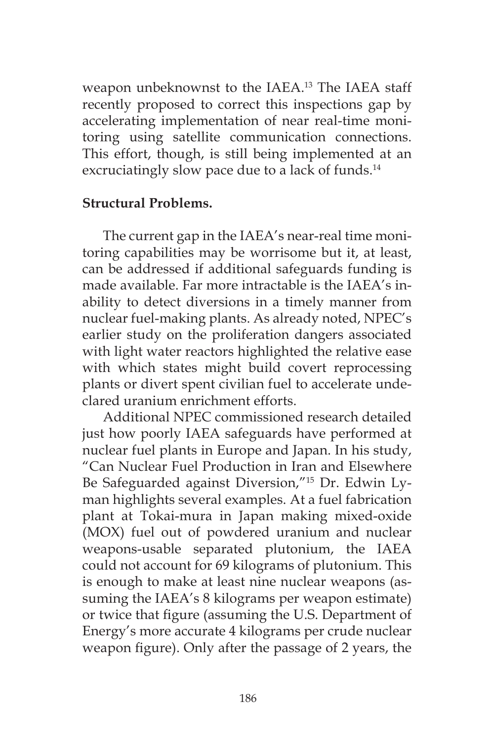weapon unbeknownst to the IAEA.13 The IAEA staff recently proposed to correct this inspections gap by accelerating implementation of near real-time monitoring using satellite communication connections. This effort, though, is still being implemented at an excruciatingly slow pace due to a lack of funds.<sup>14</sup>

### **Structural Problems.**

The current gap in the IAEA's near-real time monitoring capabilities may be worrisome but it, at least, can be addressed if additional safeguards funding is made available. Far more intractable is the IAEA's inability to detect diversions in a timely manner from nuclear fuel-making plants. As already noted, NPEC's earlier study on the proliferation dangers associated with light water reactors highlighted the relative ease with which states might build covert reprocessing plants or divert spent civilian fuel to accelerate undeclared uranium enrichment efforts.

Additional NPEC commissioned research detailed just how poorly IAEA safeguards have performed at nuclear fuel plants in Europe and Japan. In his study, "Can Nuclear Fuel Production in Iran and Elsewhere Be Safeguarded against Diversion,"15 Dr. Edwin Lyman highlights several examples. At a fuel fabrication plant at Tokai-mura in Japan making mixed-oxide (MOX) fuel out of powdered uranium and nuclear weapons-usable separated plutonium, the IAEA could not account for 69 kilograms of plutonium. This is enough to make at least nine nuclear weapons (assuming the IAEA's 8 kilograms per weapon estimate) or twice that figure (assuming the U.S. Department of Energy's more accurate 4 kilograms per crude nuclear weapon figure). Only after the passage of 2 years, the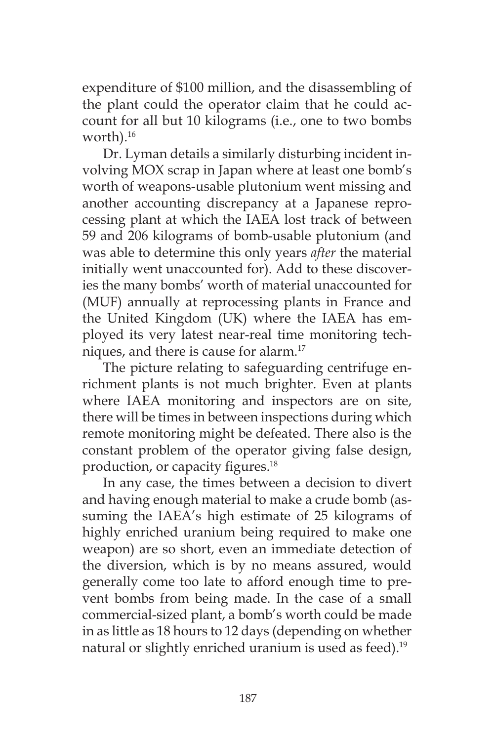expenditure of \$100 million, and the disassembling of the plant could the operator claim that he could account for all but 10 kilograms (i.e., one to two bombs worth).16

Dr. Lyman details a similarly disturbing incident involving MOX scrap in Japan where at least one bomb's worth of weapons-usable plutonium went missing and another accounting discrepancy at a Japanese reprocessing plant at which the IAEA lost track of between 59 and 206 kilograms of bomb-usable plutonium (and was able to determine this only years *after* the material initially went unaccounted for). Add to these discoveries the many bombs' worth of material unaccounted for (MUF) annually at reprocessing plants in France and the United Kingdom (UK) where the IAEA has employed its very latest near-real time monitoring techniques, and there is cause for alarm.17

The picture relating to safeguarding centrifuge enrichment plants is not much brighter. Even at plants where IAEA monitoring and inspectors are on site, there will be times in between inspections during which remote monitoring might be defeated. There also is the constant problem of the operator giving false design, production, or capacity figures.<sup>18</sup>

In any case, the times between a decision to divert and having enough material to make a crude bomb (assuming the IAEA's high estimate of 25 kilograms of highly enriched uranium being required to make one weapon) are so short, even an immediate detection of the diversion, which is by no means assured, would generally come too late to afford enough time to prevent bombs from being made. In the case of a small commercial-sized plant, a bomb's worth could be made in as little as 18 hours to 12 days (depending on whether natural or slightly enriched uranium is used as feed).<sup>19</sup>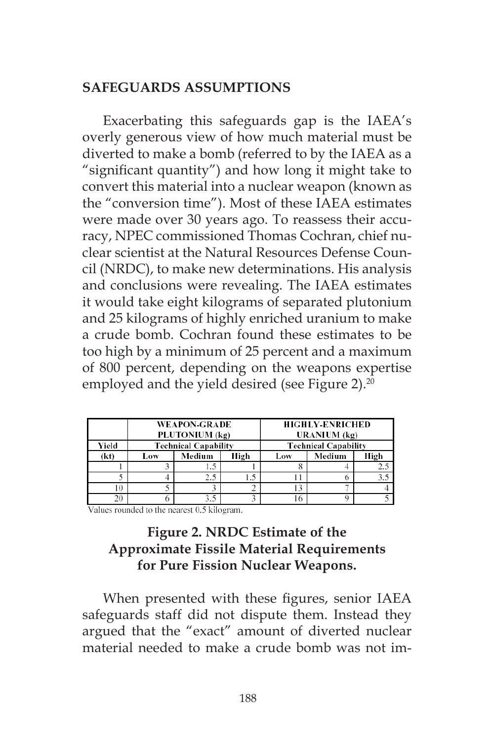### **SAFEGUARDS ASSUMPTIONS**

Exacerbating this safeguards gap is the IAEA's overly generous view of how much material must be diverted to make a bomb (referred to by the IAEA as a "significant quantity") and how long it might take to convert this material into a nuclear weapon (known as the "conversion time"). Most of these IAEA estimates were made over 30 years ago. To reassess their accuracy, NPEC commissioned Thomas Cochran, chief nuclear scientist at the Natural Resources Defense Council (NRDC), to make new determinations. His analysis and conclusions were revealing. The IAEA estimates it would take eight kilograms of separated plutonium and 25 kilograms of highly enriched uranium to make a crude bomb. Cochran found these estimates to be too high by a minimum of 25 percent and a maximum of 800 percent, depending on the weapons expertise employed and the yield desired (see Figure 2).<sup>20</sup>

|       | <b>WEAPON-GRADE</b><br>PLUTONIUM (kg) |        |      | <b>HIGHLY-ENRICHED</b><br><b>URANIUM</b> (kg) |        |      |
|-------|---------------------------------------|--------|------|-----------------------------------------------|--------|------|
| Yield | <b>Technical Capability</b>           |        |      | <b>Technical Capability</b>                   |        |      |
| (kt)  | Low                                   | Medium | High | Low                                           | Medium | High |
|       |                                       |        |      |                                               |        | z.:  |
|       |                                       | 2.5    |      |                                               |        | 3.5  |
| 10    |                                       |        |      |                                               |        |      |
|       |                                       |        |      | 16                                            |        |      |

Values rounded to the nearest 0.5 kilogram.

### **Figure 2. NRDC Estimate of the Approximate Fissile Material Requirements for Pure Fission Nuclear Weapons.**

When presented with these figures, senior IAEA safeguards staff did not dispute them. Instead they argued that the "exact" amount of diverted nuclear material needed to make a crude bomb was not im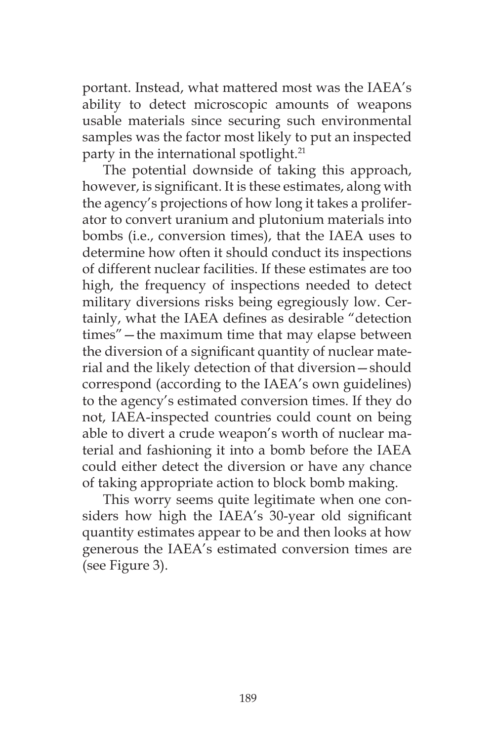portant. Instead, what mattered most was the IAEA's ability to detect microscopic amounts of weapons usable materials since securing such environmental samples was the factor most likely to put an inspected party in the international spotlight.<sup>21</sup>

The potential downside of taking this approach, however, is significant. It is these estimates, along with the agency's projections of how long it takes a proliferator to convert uranium and plutonium materials into bombs (i.e., conversion times), that the IAEA uses to determine how often it should conduct its inspections of different nuclear facilities. If these estimates are too high, the frequency of inspections needed to detect military diversions risks being egregiously low. Certainly, what the IAEA defines as desirable "detection times"—the maximum time that may elapse between the diversion of a significant quantity of nuclear material and the likely detection of that diversion—should correspond (according to the IAEA's own guidelines) to the agency's estimated conversion times. If they do not, IAEA-inspected countries could count on being able to divert a crude weapon's worth of nuclear material and fashioning it into a bomb before the IAEA could either detect the diversion or have any chance of taking appropriate action to block bomb making.

This worry seems quite legitimate when one considers how high the IAEA's 30-year old significant quantity estimates appear to be and then looks at how generous the IAEA's estimated conversion times are (see Figure 3).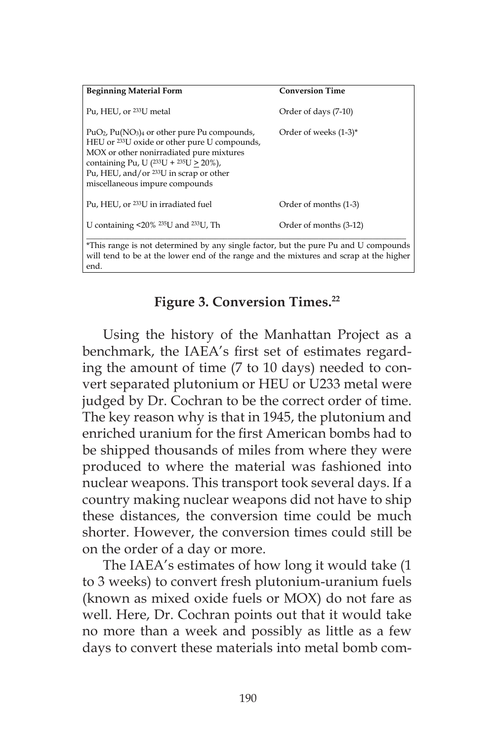| <b>Beginning Material Form</b>                                                                                                                                                                                                                                                     | <b>Conversion Time</b> |
|------------------------------------------------------------------------------------------------------------------------------------------------------------------------------------------------------------------------------------------------------------------------------------|------------------------|
| Pu, HEU, or <sup>233</sup> U metal                                                                                                                                                                                                                                                 | Order of days (7-10)   |
| $PuO2$ , $Pu(NO3)4$ or other pure Pu compounds,<br>HEU or <sup>233</sup> U oxide or other pure U compounds,<br>MOX or other nonirradiated pure mixtures<br>containing Pu, U $(233U + 235U) > 20\%$ ,<br>Pu, HEU, and/or $233U$ in scrap or other<br>miscellaneous impure compounds | Order of weeks (1-3)*  |
| Pu, HEU, or <sup>233</sup> U in irradiated fuel                                                                                                                                                                                                                                    | Order of months (1-3)  |
| U containing $\langle 20\% \times 235 \text{U} \rangle$ and $233 \text{U}$ , Th                                                                                                                                                                                                    | Order of months (3-12) |
| *This range is not determined by any single factor, but the pure Pu and U compounds                                                                                                                                                                                                |                        |

\*This range is not determined by any single factor, but the pure Pu and U compounds will tend to be at the lower end of the range and the mixtures and scrap at the higher end.

# **Figure 3. Conversion Times.22**

Using the history of the Manhattan Project as a benchmark, the IAEA's first set of estimates regarding the amount of time (7 to 10 days) needed to convert separated plutonium or HEU or U233 metal were judged by Dr. Cochran to be the correct order of time. The key reason why is that in 1945, the plutonium and enriched uranium for the first American bombs had to be shipped thousands of miles from where they were produced to where the material was fashioned into nuclear weapons. This transport took several days. If a country making nuclear weapons did not have to ship these distances, the conversion time could be much shorter. However, the conversion times could still be on the order of a day or more.

The IAEA's estimates of how long it would take (1 to 3 weeks) to convert fresh plutonium-uranium fuels (known as mixed oxide fuels or MOX) do not fare as well. Here, Dr. Cochran points out that it would take no more than a week and possibly as little as a few days to convert these materials into metal bomb com-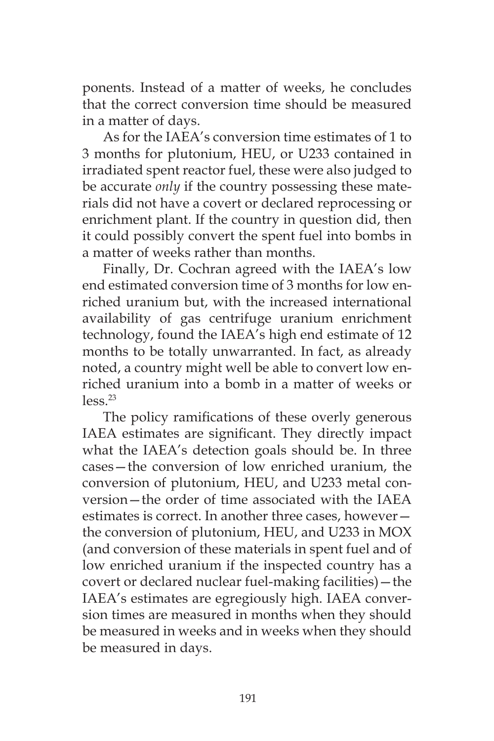ponents. Instead of a matter of weeks, he concludes that the correct conversion time should be measured in a matter of days.

As for the IAEA's conversion time estimates of 1 to 3 months for plutonium, HEU, or U233 contained in irradiated spent reactor fuel, these were also judged to be accurate *only* if the country possessing these materials did not have a covert or declared reprocessing or enrichment plant. If the country in question did, then it could possibly convert the spent fuel into bombs in a matter of weeks rather than months.

Finally, Dr. Cochran agreed with the IAEA's low end estimated conversion time of 3 months for low enriched uranium but, with the increased international availability of gas centrifuge uranium enrichment technology, found the IAEA's high end estimate of 12 months to be totally unwarranted. In fact, as already noted, a country might well be able to convert low enriched uranium into a bomb in a matter of weeks or  $less<sup>23</sup>$ 

The policy ramifications of these overly generous IAEA estimates are significant. They directly impact what the IAEA's detection goals should be. In three cases—the conversion of low enriched uranium, the conversion of plutonium, HEU, and U233 metal conversion—the order of time associated with the IAEA estimates is correct. In another three cases, however the conversion of plutonium, HEU, and U233 in MOX (and conversion of these materials in spent fuel and of low enriched uranium if the inspected country has a covert or declared nuclear fuel-making facilities)—the IAEA's estimates are egregiously high. IAEA conversion times are measured in months when they should be measured in weeks and in weeks when they should be measured in days.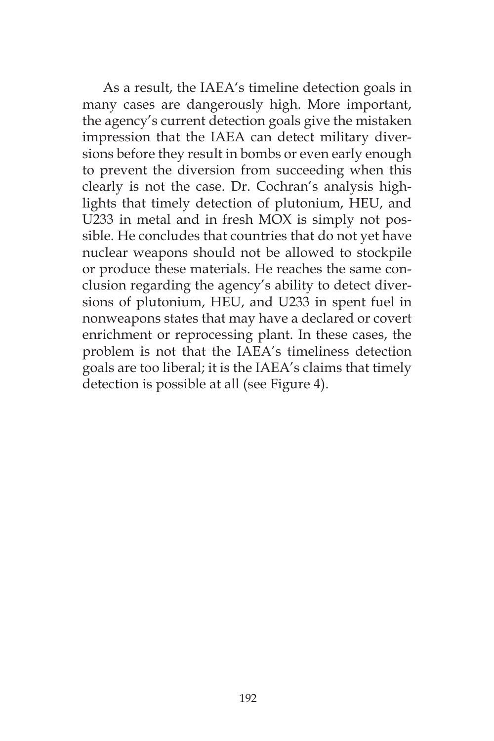As a result, the IAEA's timeline detection goals in many cases are dangerously high. More important, the agency's current detection goals give the mistaken impression that the IAEA can detect military diversions before they result in bombs or even early enough to prevent the diversion from succeeding when this clearly is not the case. Dr. Cochran's analysis highlights that timely detection of plutonium, HEU, and U233 in metal and in fresh MOX is simply not possible. He concludes that countries that do not yet have nuclear weapons should not be allowed to stockpile or produce these materials. He reaches the same conclusion regarding the agency's ability to detect diversions of plutonium, HEU, and U233 in spent fuel in nonweapons states that may have a declared or covert enrichment or reprocessing plant. In these cases, the problem is not that the IAEA's timeliness detection goals are too liberal; it is the IAEA's claims that timely detection is possible at all (see Figure 4).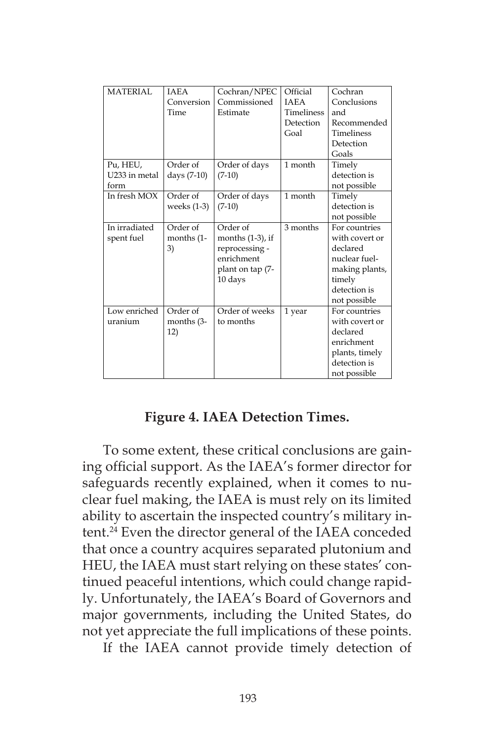| <b>MATERIAL</b> | <b>IAEA</b>   | Cochran/NPEC        | Official          | Cochran           |
|-----------------|---------------|---------------------|-------------------|-------------------|
|                 | Conversion    | Commissioned        | <b>IAEA</b>       | Conclusions       |
|                 | Time          | Estimate            | <b>Timeliness</b> | and               |
|                 |               |                     | Detection         | Recommended       |
|                 |               |                     | Goal              | <b>Timeliness</b> |
|                 |               |                     |                   | Detection         |
|                 |               |                     |                   | Goals             |
| Pu, HEU,        | Order of      | Order of days       | 1 month           | Timely            |
| U233 in metal   | days (7-10)   | $(7-10)$            |                   | detection is      |
| form            |               |                     |                   | not possible      |
| In fresh MOX    | Order of      | Order of days       | 1 month           | Timely            |
|                 | weeks $(1-3)$ | $(7-10)$            |                   | detection is      |
|                 |               |                     |                   | not possible      |
| In irradiated   | Order of      | Order of            | 3 months          | For countries     |
| spent fuel      | months (1-    | months $(1-3)$ , if |                   | with covert or    |
|                 | 3)            | reprocessing -      |                   | declared          |
|                 |               | enrichment          |                   | nuclear fuel-     |
|                 |               | plant on tap (7-    |                   | making plants,    |
|                 |               | 10 days             |                   | timely            |
|                 |               |                     |                   | detection is      |
|                 |               |                     |                   | not possible      |
| Low enriched    | Order of      | Order of weeks      | 1 year            | For countries     |
| uranium         | months (3-    | to months           |                   | with covert or    |
|                 | 12)           |                     |                   | declared          |
|                 |               |                     |                   | enrichment        |
|                 |               |                     |                   | plants, timely    |
|                 |               |                     |                   | detection is      |
|                 |               |                     |                   | not possible      |

### **Figure 4. IAEA Detection Times.**

To some extent, these critical conclusions are gaining official support. As the IAEA's former director for safeguards recently explained, when it comes to nuclear fuel making, the IAEA is must rely on its limited ability to ascertain the inspected country's military intent.<sup>24</sup> Even the director general of the IAEA conceded that once a country acquires separated plutonium and HEU, the IAEA must start relying on these states' continued peaceful intentions, which could change rapidly. Unfortunately, the IAEA's Board of Governors and major governments, including the United States, do not yet appreciate the full implications of these points.

If the IAEA cannot provide timely detection of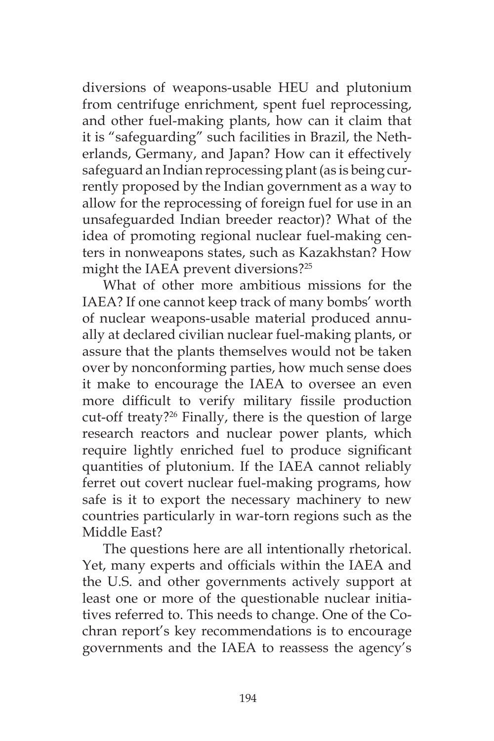diversions of weapons-usable HEU and plutonium from centrifuge enrichment, spent fuel reprocessing, and other fuel-making plants, how can it claim that it is "safeguarding" such facilities in Brazil, the Netherlands, Germany, and Japan? How can it effectively safeguard an Indian reprocessing plant (as is being currently proposed by the Indian government as a way to allow for the reprocessing of foreign fuel for use in an unsafeguarded Indian breeder reactor)? What of the idea of promoting regional nuclear fuel-making centers in nonweapons states, such as Kazakhstan? How might the IAEA prevent diversions?<sup>25</sup>

What of other more ambitious missions for the IAEA? If one cannot keep track of many bombs' worth of nuclear weapons-usable material produced annually at declared civilian nuclear fuel-making plants, or assure that the plants themselves would not be taken over by nonconforming parties, how much sense does it make to encourage the IAEA to oversee an even more difficult to verify military fissile production cut-off treaty?<sup>26</sup> Finally, there is the question of large research reactors and nuclear power plants, which require lightly enriched fuel to produce significant quantities of plutonium. If the IAEA cannot reliably ferret out covert nuclear fuel-making programs, how safe is it to export the necessary machinery to new countries particularly in war-torn regions such as the Middle East?

The questions here are all intentionally rhetorical. Yet, many experts and officials within the IAEA and the U.S. and other governments actively support at least one or more of the questionable nuclear initiatives referred to. This needs to change. One of the Cochran report's key recommendations is to encourage governments and the IAEA to reassess the agency's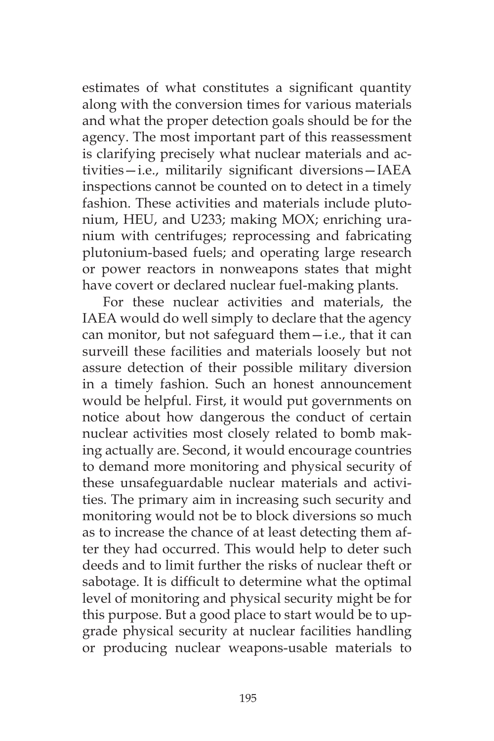estimates of what constitutes a significant quantity along with the conversion times for various materials and what the proper detection goals should be for the agency. The most important part of this reassessment is clarifying precisely what nuclear materials and activities—i.e., militarily significant diversions—IAEA inspections cannot be counted on to detect in a timely fashion. These activities and materials include plutonium, HEU, and U233; making MOX; enriching uranium with centrifuges; reprocessing and fabricating plutonium-based fuels; and operating large research or power reactors in nonweapons states that might have covert or declared nuclear fuel-making plants.

For these nuclear activities and materials, the IAEA would do well simply to declare that the agency can monitor, but not safeguard them—i.e., that it can surveill these facilities and materials loosely but not assure detection of their possible military diversion in a timely fashion. Such an honest announcement would be helpful. First, it would put governments on notice about how dangerous the conduct of certain nuclear activities most closely related to bomb making actually are. Second, it would encourage countries to demand more monitoring and physical security of these unsafeguardable nuclear materials and activities. The primary aim in increasing such security and monitoring would not be to block diversions so much as to increase the chance of at least detecting them after they had occurred. This would help to deter such deeds and to limit further the risks of nuclear theft or sabotage. It is difficult to determine what the optimal level of monitoring and physical security might be for this purpose. But a good place to start would be to upgrade physical security at nuclear facilities handling or producing nuclear weapons-usable materials to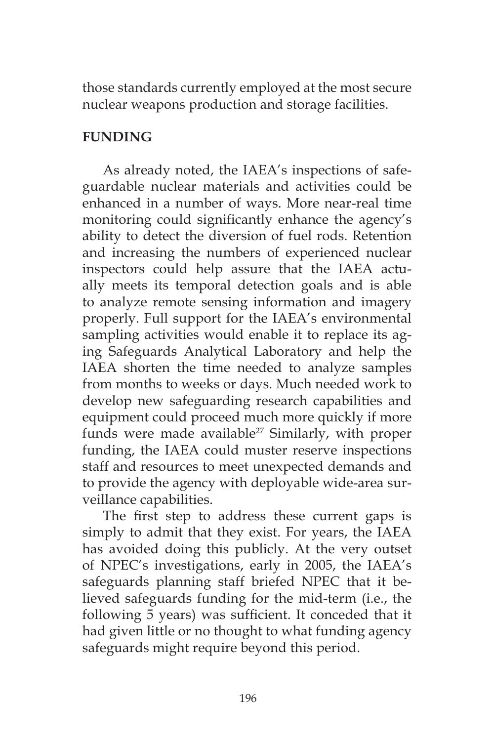those standards currently employed at the most secure nuclear weapons production and storage facilities.

# **FUNDING**

As already noted, the IAEA's inspections of safeguardable nuclear materials and activities could be enhanced in a number of ways. More near-real time monitoring could significantly enhance the agency's ability to detect the diversion of fuel rods. Retention and increasing the numbers of experienced nuclear inspectors could help assure that the IAEA actually meets its temporal detection goals and is able to analyze remote sensing information and imagery properly. Full support for the IAEA's environmental sampling activities would enable it to replace its aging Safeguards Analytical Laboratory and help the IAEA shorten the time needed to analyze samples from months to weeks or days. Much needed work to develop new safeguarding research capabilities and equipment could proceed much more quickly if more funds were made available $^{27}$  Similarly, with proper funding, the IAEA could muster reserve inspections staff and resources to meet unexpected demands and to provide the agency with deployable wide-area surveillance capabilities.

The first step to address these current gaps is simply to admit that they exist. For years, the IAEA has avoided doing this publicly. At the very outset of NPEC's investigations, early in 2005, the IAEA's safeguards planning staff briefed NPEC that it believed safeguards funding for the mid-term (i.e., the following 5 years) was sufficient. It conceded that it had given little or no thought to what funding agency safeguards might require beyond this period.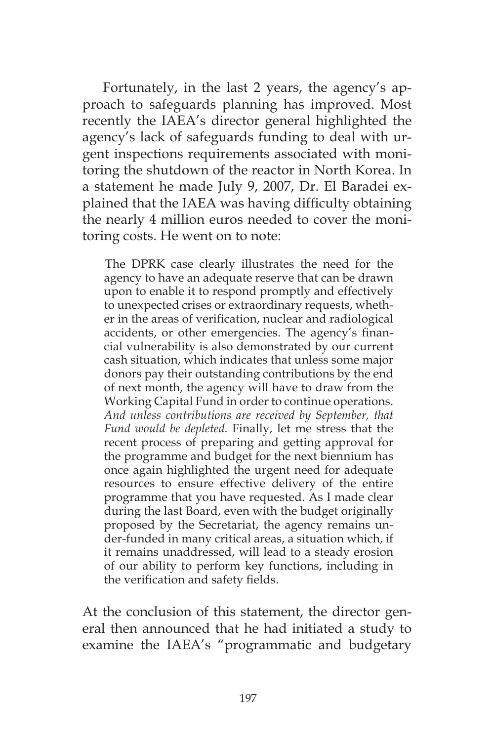Fortunately, in the last 2 years, the agency's approach to safeguards planning has improved. Most recently the IAEA's director general highlighted the agency's lack of safeguards funding to deal with urgent inspections requirements associated with monitoring the shutdown of the reactor in North Korea. In a statement he made July 9, 2007, Dr. El Baradei explained that the IAEA was having difficulty obtaining the nearly 4 million euros needed to cover the monitoring costs. He went on to note:

The DPRK case clearly illustrates the need for the agency to have an adequate reserve that can be drawn upon to enable it to respond promptly and effectively to unexpected crises or extraordinary requests, whether in the areas of verification, nuclear and radiological accidents, or other emergencies. The agency's financial vulnerability is also demonstrated by our current cash situation, which indicates that unless some major donors pay their outstanding contributions by the end of next month, the agency will have to draw from the Working Capital Fund in order to continue operations. *And unless contributions are received by September, that Fund would be depleted.* Finally, let me stress that the recent process of preparing and getting approval for the programme and budget for the next biennium has once again highlighted the urgent need for adequate resources to ensure effective delivery of the entire programme that you have requested. As I made clear during the last Board, even with the budget originally proposed by the Secretariat, the agency remains under-funded in many critical areas, a situation which, if it remains unaddressed, will lead to a steady erosion of our ability to perform key functions, including in the verification and safety fields.

At the conclusion of this statement, the director general then announced that he had initiated a study to examine the IAEA's "programmatic and budgetary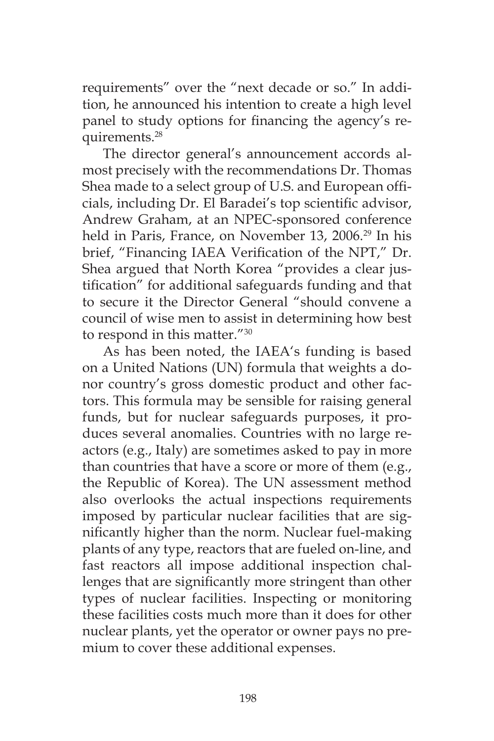requirements" over the "next decade or so." In addition, he announced his intention to create a high level panel to study options for financing the agency's requirements.28

The director general's announcement accords almost precisely with the recommendations Dr. Thomas Shea made to a select group of U.S. and European officials, including Dr. El Baradei's top scientific advisor, Andrew Graham, at an NPEC-sponsored conference held in Paris, France, on November 13, 2006.<sup>29</sup> In his brief, "Financing IAEA Verification of the NPT," Dr. Shea argued that North Korea "provides a clear justification" for additional safeguards funding and that to secure it the Director General "should convene a council of wise men to assist in determining how best to respond in this matter."30

As has been noted, the IAEA's funding is based on a United Nations (UN) formula that weights a donor country's gross domestic product and other factors. This formula may be sensible for raising general funds, but for nuclear safeguards purposes, it produces several anomalies. Countries with no large reactors (e.g., Italy) are sometimes asked to pay in more than countries that have a score or more of them (e.g., the Republic of Korea). The UN assessment method also overlooks the actual inspections requirements imposed by particular nuclear facilities that are significantly higher than the norm. Nuclear fuel-making plants of any type, reactors that are fueled on-line, and fast reactors all impose additional inspection challenges that are significantly more stringent than other types of nuclear facilities. Inspecting or monitoring these facilities costs much more than it does for other nuclear plants, yet the operator or owner pays no premium to cover these additional expenses.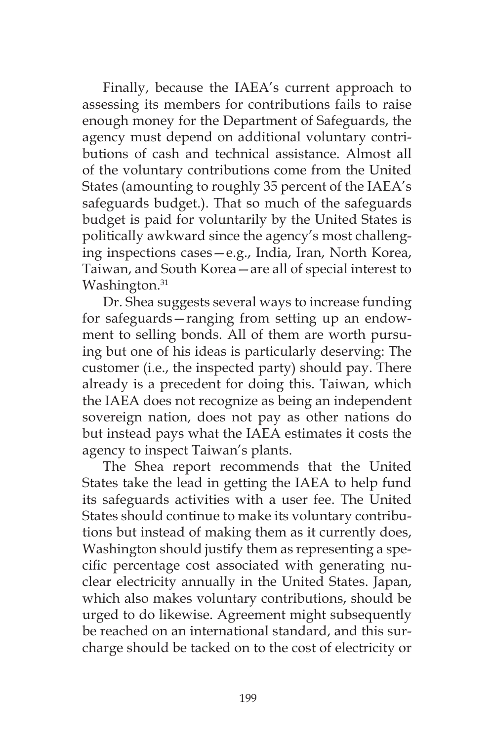Finally, because the IAEA's current approach to assessing its members for contributions fails to raise enough money for the Department of Safeguards, the agency must depend on additional voluntary contributions of cash and technical assistance. Almost all of the voluntary contributions come from the United States (amounting to roughly 35 percent of the IAEA's safeguards budget.). That so much of the safeguards budget is paid for voluntarily by the United States is politically awkward since the agency's most challenging inspections cases—e.g., India, Iran, North Korea, Taiwan, and South Korea—are all of special interest to Washington.<sup>31</sup>

Dr. Shea suggests several ways to increase funding for safeguards—ranging from setting up an endowment to selling bonds. All of them are worth pursuing but one of his ideas is particularly deserving: The customer (i.e., the inspected party) should pay. There already is a precedent for doing this. Taiwan, which the IAEA does not recognize as being an independent sovereign nation, does not pay as other nations do but instead pays what the IAEA estimates it costs the agency to inspect Taiwan's plants.

The Shea report recommends that the United States take the lead in getting the IAEA to help fund its safeguards activities with a user fee. The United States should continue to make its voluntary contributions but instead of making them as it currently does, Washington should justify them as representing a specific percentage cost associated with generating nuclear electricity annually in the United States. Japan, which also makes voluntary contributions, should be urged to do likewise. Agreement might subsequently be reached on an international standard, and this surcharge should be tacked on to the cost of electricity or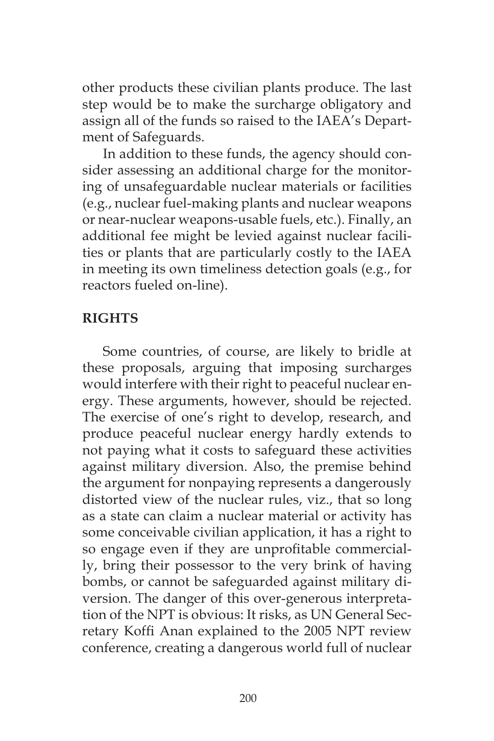other products these civilian plants produce. The last step would be to make the surcharge obligatory and assign all of the funds so raised to the IAEA's Department of Safeguards.

In addition to these funds, the agency should consider assessing an additional charge for the monitoring of unsafeguardable nuclear materials or facilities (e.g., nuclear fuel-making plants and nuclear weapons or near-nuclear weapons-usable fuels, etc.). Finally, an additional fee might be levied against nuclear facilities or plants that are particularly costly to the IAEA in meeting its own timeliness detection goals (e.g., for reactors fueled on-line).

### **RIGHTS**

Some countries, of course, are likely to bridle at these proposals, arguing that imposing surcharges would interfere with their right to peaceful nuclear energy. These arguments, however, should be rejected. The exercise of one's right to develop, research, and produce peaceful nuclear energy hardly extends to not paying what it costs to safeguard these activities against military diversion. Also, the premise behind the argument for nonpaying represents a dangerously distorted view of the nuclear rules, viz., that so long as a state can claim a nuclear material or activity has some conceivable civilian application, it has a right to so engage even if they are unprofitable commercially, bring their possessor to the very brink of having bombs, or cannot be safeguarded against military diversion. The danger of this over-generous interpretation of the NPT is obvious: It risks, as UN General Secretary Koffi Anan explained to the 2005 NPT review conference, creating a dangerous world full of nuclear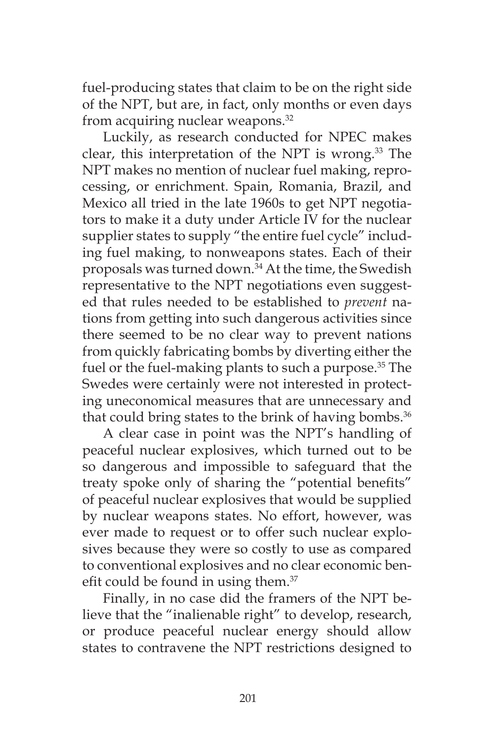fuel-producing states that claim to be on the right side of the NPT, but are, in fact, only months or even days from acquiring nuclear weapons.<sup>32</sup>

Luckily, as research conducted for NPEC makes clear, this interpretation of the NPT is wrong. $33$  The NPT makes no mention of nuclear fuel making, reprocessing, or enrichment. Spain, Romania, Brazil, and Mexico all tried in the late 1960s to get NPT negotiators to make it a duty under Article IV for the nuclear supplier states to supply "the entire fuel cycle" including fuel making, to nonweapons states. Each of their proposals was turned down.<sup>34</sup> At the time, the Swedish representative to the NPT negotiations even suggested that rules needed to be established to *prevent* nations from getting into such dangerous activities since there seemed to be no clear way to prevent nations from quickly fabricating bombs by diverting either the fuel or the fuel-making plants to such a purpose.<sup>35</sup> The Swedes were certainly were not interested in protecting uneconomical measures that are unnecessary and that could bring states to the brink of having bombs.<sup>36</sup>

A clear case in point was the NPT's handling of peaceful nuclear explosives, which turned out to be so dangerous and impossible to safeguard that the treaty spoke only of sharing the "potential benefits" of peaceful nuclear explosives that would be supplied by nuclear weapons states. No effort, however, was ever made to request or to offer such nuclear explosives because they were so costly to use as compared to conventional explosives and no clear economic benefit could be found in using them.<sup>37</sup>

Finally, in no case did the framers of the NPT believe that the "inalienable right" to develop, research, or produce peaceful nuclear energy should allow states to contravene the NPT restrictions designed to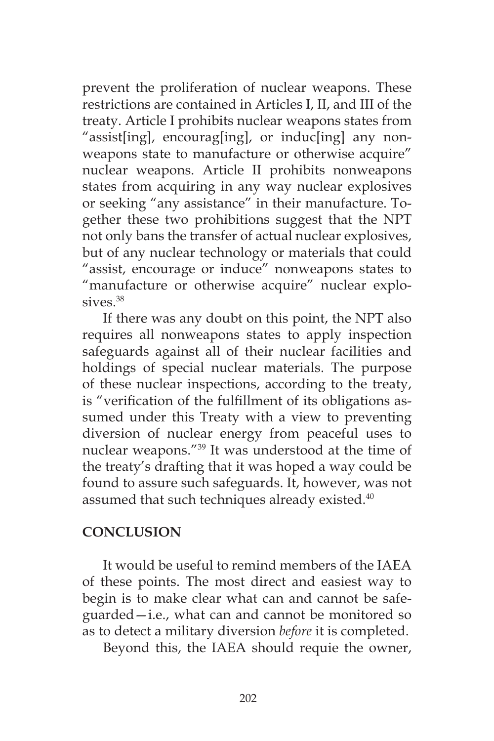prevent the proliferation of nuclear weapons. These restrictions are contained in Articles I, II, and III of the treaty. Article I prohibits nuclear weapons states from "assist[ing], encourag[ing], or induc[ing] any nonweapons state to manufacture or otherwise acquire" nuclear weapons. Article II prohibits nonweapons states from acquiring in any way nuclear explosives or seeking "any assistance" in their manufacture. Together these two prohibitions suggest that the NPT not only bans the transfer of actual nuclear explosives, but of any nuclear technology or materials that could "assist, encourage or induce" nonweapons states to "manufacture or otherwise acquire" nuclear explosives.<sup>38</sup>

If there was any doubt on this point, the NPT also requires all nonweapons states to apply inspection safeguards against all of their nuclear facilities and holdings of special nuclear materials. The purpose of these nuclear inspections, according to the treaty, is "verification of the fulfillment of its obligations assumed under this Treaty with a view to preventing diversion of nuclear energy from peaceful uses to nuclear weapons."39 It was understood at the time of the treaty's drafting that it was hoped a way could be found to assure such safeguards. It, however, was not assumed that such techniques already existed.<sup>40</sup>

## **CONCLUSION**

It would be useful to remind members of the IAEA of these points. The most direct and easiest way to begin is to make clear what can and cannot be safeguarded—i.e., what can and cannot be monitored so as to detect a military diversion *before* it is completed.

Beyond this, the IAEA should requie the owner,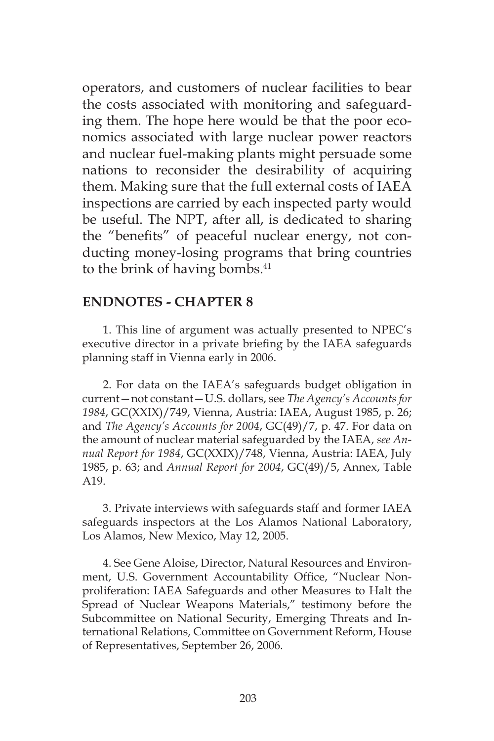operators, and customers of nuclear facilities to bear the costs associated with monitoring and safeguarding them. The hope here would be that the poor economics associated with large nuclear power reactors and nuclear fuel-making plants might persuade some nations to reconsider the desirability of acquiring them. Making sure that the full external costs of IAEA inspections are carried by each inspected party would be useful. The NPT, after all, is dedicated to sharing the "benefits" of peaceful nuclear energy, not conducting money-losing programs that bring countries to the brink of having bombs.<sup>41</sup>

#### **ENDNOTES - CHAPTER 8**

1. This line of argument was actually presented to NPEC's executive director in a private briefing by the IAEA safeguards planning staff in Vienna early in 2006.

2. For data on the IAEA's safeguards budget obligation in current—not constant—U.S. dollars, see *The Agency's Accounts for 1984*, GC(XXIX)/749, Vienna, Austria: IAEA, August 1985, p. 26; and *The Agency's Accounts for 2004*, GC(49)/7, p. 47. For data on the amount of nuclear material safeguarded by the IAEA, *see Annual Report for 1984*, GC(XXIX)/748, Vienna, Austria: IAEA, July 1985, p. 63; and *Annual Report for 2004*, GC(49)/5, Annex, Table A19.

3. Private interviews with safeguards staff and former IAEA safeguards inspectors at the Los Alamos National Laboratory, Los Alamos, New Mexico, May 12, 2005.

4. See Gene Aloise, Director, Natural Resources and Environment, U.S. Government Accountability Office, "Nuclear Nonproliferation: IAEA Safeguards and other Measures to Halt the Spread of Nuclear Weapons Materials," testimony before the Subcommittee on National Security, Emerging Threats and International Relations, Committee on Government Reform, House of Representatives, September 26, 2006.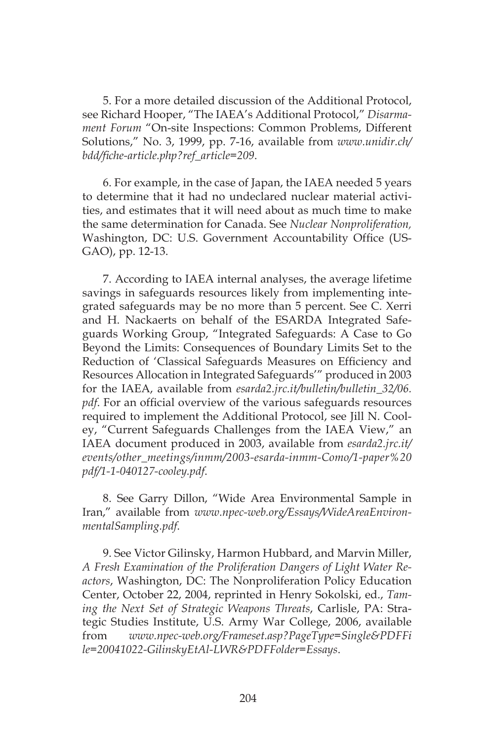5. For a more detailed discussion of the Additional Protocol, see Richard Hooper, "The IAEA's Additional Protocol," *Disarmament Forum* "On-site Inspections: Common Problems, Different Solutions," No. 3, 1999, pp. 7-16, available from *www.unidir.ch/ bdd/fiche-article.php?ref\_article=209*.

6. For example, in the case of Japan, the IAEA needed 5 years to determine that it had no undeclared nuclear material activities, and estimates that it will need about as much time to make the same determination for Canada. See *Nuclear Nonproliferation,*  Washington, DC: U.S. Government Accountability Office (US-GAO), pp. 12-13.

7. According to IAEA internal analyses, the average lifetime savings in safeguards resources likely from implementing integrated safeguards may be no more than 5 percent. See C. Xerri and H. Nackaerts on behalf of the ESARDA Integrated Safeguards Working Group, "Integrated Safeguards: A Case to Go Beyond the Limits: Consequences of Boundary Limits Set to the Reduction of 'Classical Safeguards Measures on Efficiency and Resources Allocation in Integrated Safeguards'" produced in 2003 for the IAEA, available from *esarda2.jrc.it/bulletin/bulletin\_32/06. pdf*. For an official overview of the various safeguards resources required to implement the Additional Protocol, see Jill N. Cooley, "Current Safeguards Challenges from the IAEA View," an IAEA document produced in 2003, available from *esarda2.jrc.it/ events/other\_meetings/inmm/2003-esarda-inmm-Como/1-paper%20 pdf/1-1-040127-cooley.pdf*.

8. See Garry Dillon, "Wide Area Environmental Sample in Iran," available from *www.npec-web.org/Essays/WideAreaEnvironmentalSampling.pdf*.

9. See Victor Gilinsky, Harmon Hubbard, and Marvin Miller, *A Fresh Examination of the Proliferation Dangers of Light Water Reactors*, Washington, DC: The Nonproliferation Policy Education Center, October 22, 2004, reprinted in Henry Sokolski, ed., *Taming the Next Set of Strategic Weapons Threats*, Carlisle, PA: Strategic Studies Institute, U.S. Army War College, 2006, available from *www.npec-web.org/Frameset.asp?PageType=Single&PDFFi le=20041022-GilinskyEtAl-LWR&PDFFolder=Essays*.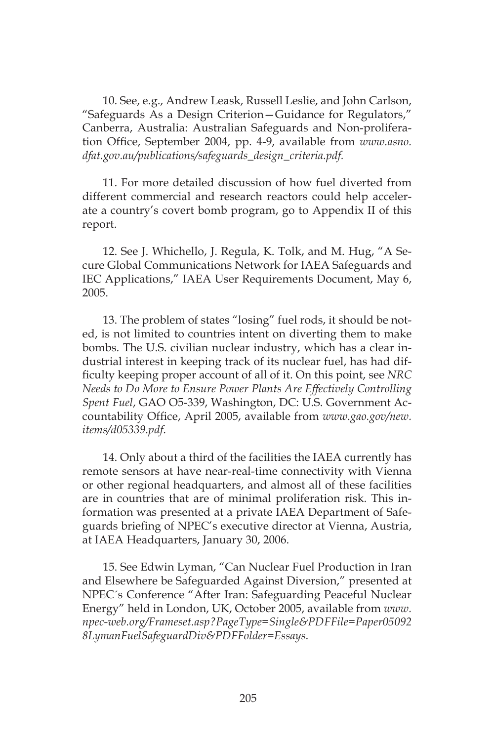10. See, e.g., Andrew Leask, Russell Leslie, and John Carlson, "Safeguards As a Design Criterion—Guidance for Regulators," Canberra, Australia: Australian Safeguards and Non-proliferation Office, September 2004, pp. 4-9, available from *www.asno. dfat.gov.au/publications/safeguards\_design\_criteria.pdf.*

11. For more detailed discussion of how fuel diverted from different commercial and research reactors could help accelerate a country's covert bomb program, go to Appendix II of this report.

12. See J. Whichello, J. Regula, K. Tolk, and M. Hug, "A Secure Global Communications Network for IAEA Safeguards and IEC Applications," IAEA User Requirements Document, May 6, 2005.

13. The problem of states "losing" fuel rods, it should be noted, is not limited to countries intent on diverting them to make bombs. The U.S. civilian nuclear industry, which has a clear industrial interest in keeping track of its nuclear fuel, has had difficulty keeping proper account of all of it. On this point, see *NRC Needs to Do More to Ensure Power Plants Are Effectively Controlling Spent Fuel*, GAO O5-339, Washington, DC: U.S. Government Accountability Office, April 2005, available from *www.gao.gov/new. items/d05339.pdf*.

14. Only about a third of the facilities the IAEA currently has remote sensors at have near-real-time connectivity with Vienna or other regional headquarters, and almost all of these facilities are in countries that are of minimal proliferation risk. This information was presented at a private IAEA Department of Safeguards briefing of NPEC's executive director at Vienna, Austria, at IAEA Headquarters, January 30, 2006.

15. See Edwin Lyman, "Can Nuclear Fuel Production in Iran and Elsewhere be Safeguarded Against Diversion," presented at NPEC´s Conference "After Iran: Safeguarding Peaceful Nuclear Energy" held in London, UK, October 2005, available from *www. npec-web.org/Frameset.asp?PageType=Single&PDFFile=Paper05092 8LymanFuelSafeguardDiv&PDFFolder=Essays*.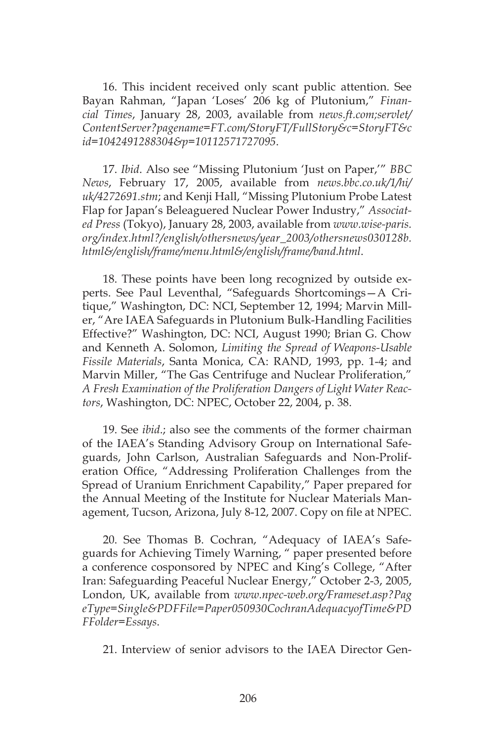16. This incident received only scant public attention. See Bayan Rahman, "Japan 'Loses' 206 kg of Plutonium," *Financial Times*, January 28, 2003, available from *news.ft.com;servlet/ ContentServer?pagename=FT.com/StoryFT/FullStory&c=StoryFT&c id=1042491288304&p=10112571727095*.

17. *Ibid*. Also see "Missing Plutonium 'Just on Paper,'" *BBC News*, February 17, 2005, available from *news.bbc.co.uk/1/hi/ uk/4272691.stm*; and Kenji Hall, "Missing Plutonium Probe Latest Flap for Japan's Beleaguered Nuclear Power Industry," *Associated Press* (Tokyo), January 28, 2003, available from *www.wise-paris. org/index.html?/english/othersnews/year\_2003/othersnews030128b. html&/english/frame/menu.html&/english/frame/band.html*.

18. These points have been long recognized by outside experts. See Paul Leventhal, "Safeguards Shortcomings—A Critique," Washington, DC: NCI, September 12, 1994; Marvin Miller, "Are IAEA Safeguards in Plutonium Bulk-Handling Facilities Effective?" Washington, DC: NCI, August 1990; Brian G. Chow and Kenneth A. Solomon, *Limiting the Spread of Weapons-Usable Fissile Materials*, Santa Monica, CA: RAND, 1993, pp. 1-4; and Marvin Miller, "The Gas Centrifuge and Nuclear Proliferation," *A Fresh Examination of the Proliferation Dangers of Light Water Reactors*, Washington, DC: NPEC, October 22, 2004, p. 38.

19. See *ibid*.; also see the comments of the former chairman of the IAEA's Standing Advisory Group on International Safeguards, John Carlson, Australian Safeguards and Non-Proliferation Office, "Addressing Proliferation Challenges from the Spread of Uranium Enrichment Capability," Paper prepared for the Annual Meeting of the Institute for Nuclear Materials Management, Tucson, Arizona, July 8-12, 2007. Copy on file at NPEC.

20. See Thomas B. Cochran, "Adequacy of IAEA's Safeguards for Achieving Timely Warning, " paper presented before a conference cosponsored by NPEC and King's College, "After Iran: Safeguarding Peaceful Nuclear Energy," October 2-3, 2005, London, UK, available from *www.npec-web.org/Frameset.asp?Pag eType=Single&PDFFile=Paper050930CochranAdequacyofTime&PD FFolder=Essays*.

21. Interview of senior advisors to the IAEA Director Gen-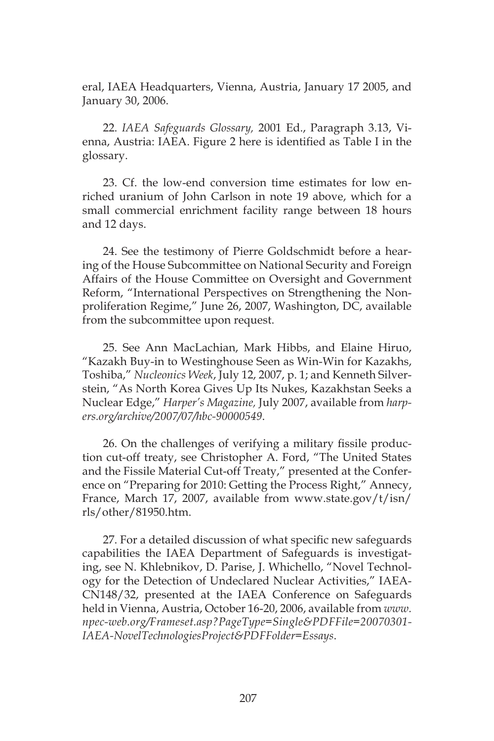eral, IAEA Headquarters, Vienna, Austria, January 17 2005, and January 30, 2006.

22. *IAEA Safeguards Glossary,* 2001 Ed., Paragraph 3.13, Vienna, Austria: IAEA. Figure 2 here is identified as Table I in the glossary.

23. Cf. the low-end conversion time estimates for low enriched uranium of John Carlson in note 19 above, which for a small commercial enrichment facility range between 18 hours and 12 days.

24. See the testimony of Pierre Goldschmidt before a hearing of the House Subcommittee on National Security and Foreign Affairs of the House Committee on Oversight and Government Reform, "International Perspectives on Strengthening the Nonproliferation Regime," June 26, 2007, Washington, DC, available from the subcommittee upon request.

25. See Ann MacLachian, Mark Hibbs, and Elaine Hiruo, "Kazakh Buy-in to Westinghouse Seen as Win-Win for Kazakhs, Toshiba," *Nucleonics Week*, July 12, 2007, p. 1; and Kenneth Silverstein, "As North Korea Gives Up Its Nukes, Kazakhstan Seeks a Nuclear Edge," *Harper's Magazine,* July 2007, available from *harpers.org/archive/2007/07/hbc-90000549*.

26. On the challenges of verifying a military fissile production cut-off treaty, see Christopher A. Ford, "The United States and the Fissile Material Cut-off Treaty," presented at the Conference on "Preparing for 2010: Getting the Process Right," Annecy, France, March 17, 2007, available from www.state.gov/t/isn/ rls/other/81950.htm.

27. For a detailed discussion of what specific new safeguards capabilities the IAEA Department of Safeguards is investigating, see N. Khlebnikov, D. Parise, J. Whichello, "Novel Technology for the Detection of Undeclared Nuclear Activities," IAEA-CN148/32, presented at the IAEA Conference on Safeguards held in Vienna, Austria, October 16-20, 2006, available from *www. npec-web.org/Frameset.asp?PageType=Single&PDFFile=20070301- IAEA-NovelTechnologiesProject&PDFFolder=Essays*.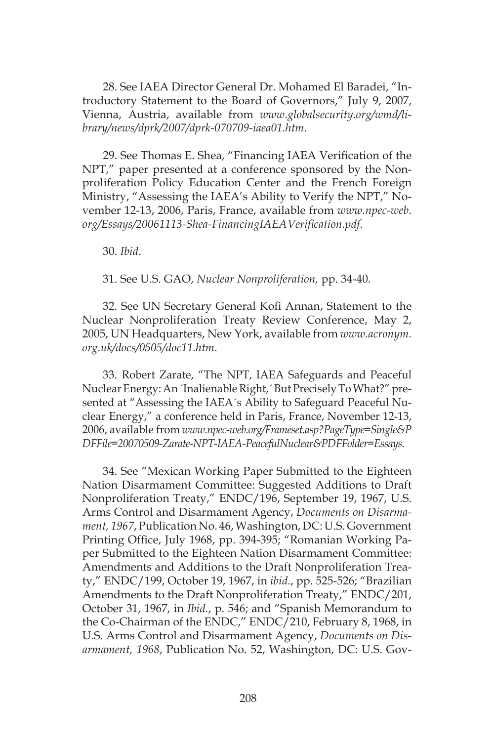28. See IAEA Director General Dr. Mohamed El Baradei, "Introductory Statement to the Board of Governors," July 9, 2007, Vienna, Austria, available from *www.globalsecurity.org/wmd/library/news/dprk/2007/dprk-070709-iaea01.htm*.

29. See Thomas E. Shea, "Financing IAEA Verification of the NPT," paper presented at a conference sponsored by the Nonproliferation Policy Education Center and the French Foreign Ministry, "Assessing the IAEA's Ability to Verify the NPT," November 12-13, 2006, Paris, France, available from *www.npec-web. org/Essays/20061113-Shea-FinancingIAEAVerification.pdf*.

30. *Ibid*.

31. See U.S. GAO, *Nuclear Nonproliferation,* pp. 34-40.

32. See UN Secretary General Kofi Annan, Statement to the Nuclear Nonproliferation Treaty Review Conference, May 2, 2005, UN Headquarters, New York, available from *www.acronym. org.uk/docs/0505/doc11.htm*.

33. Robert Zarate, "The NPT, IAEA Safeguards and Peaceful Nuclear Energy: An ´Inalienable Right,´ But Precisely To What?" presented at "Assessing the IAEA´s Ability to Safeguard Peaceful Nuclear Energy," a conference held in Paris, France, November 12-13, 2006, available from *www.npec-web.org/Frameset.asp?PageType=Single&P DFFile=20070509-Zarate-NPT-IAEA-PeacefulNuclear&PDFFolder=Essays*.

34. See "Mexican Working Paper Submitted to the Eighteen Nation Disarmament Committee: Suggested Additions to Draft Nonproliferation Treaty," ENDC/196, September 19, 1967, U.S. Arms Control and Disarmament Agency, *Documents on Disarmament, 1967*, Publication No. 46, Washington, DC: U.S. Government Printing Office, July 1968, pp. 394-395; "Romanian Working Paper Submitted to the Eighteen Nation Disarmament Committee: Amendments and Additions to the Draft Nonproliferation Treaty," ENDC/199, October 19, 1967, in *ibid.*, pp. 525-526; "Brazilian Amendments to the Draft Nonproliferation Treaty," ENDC/201, October 31, 1967, in *Ibid.*, p. 546; and "Spanish Memorandum to the Co-Chairman of the ENDC," ENDC/210, February 8, 1968, in U.S. Arms Control and Disarmament Agency, *Documents on Disarmament, 1968*, Publication No. 52, Washington, DC: U.S. Gov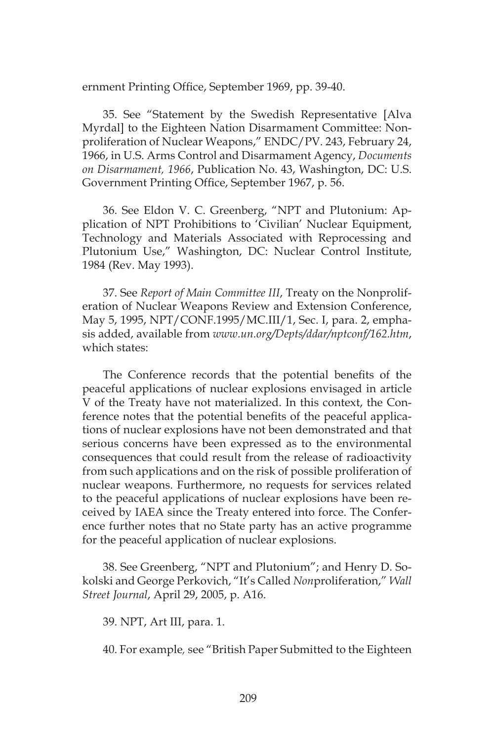ernment Printing Office, September 1969, pp. 39-40.

35. See "Statement by the Swedish Representative [Alva Myrdal] to the Eighteen Nation Disarmament Committee: Nonproliferation of Nuclear Weapons," ENDC/PV. 243, February 24, 1966, in U.S. Arms Control and Disarmament Agency, *Documents on Disarmament, 1966*, Publication No. 43, Washington, DC: U.S. Government Printing Office, September 1967, p. 56.

36. See Eldon V. C. Greenberg, "NPT and Plutonium: Application of NPT Prohibitions to 'Civilian' Nuclear Equipment, Technology and Materials Associated with Reprocessing and Plutonium Use," Washington, DC: Nuclear Control Institute, 1984 (Rev. May 1993).

37. See *Report of Main Committee III*, Treaty on the Nonproliferation of Nuclear Weapons Review and Extension Conference, May 5, 1995, NPT/CONF.1995/MC.III/1, Sec. I, para. 2, emphasis added, available from *www.un.org/Depts/ddar/nptconf/162.htm*, which states:

The Conference records that the potential benefits of the peaceful applications of nuclear explosions envisaged in article V of the Treaty have not materialized. In this context, the Conference notes that the potential benefits of the peaceful applications of nuclear explosions have not been demonstrated and that serious concerns have been expressed as to the environmental consequences that could result from the release of radioactivity from such applications and on the risk of possible proliferation of nuclear weapons. Furthermore, no requests for services related to the peaceful applications of nuclear explosions have been received by IAEA since the Treaty entered into force. The Conference further notes that no State party has an active programme for the peaceful application of nuclear explosions.

38. See Greenberg, "NPT and Plutonium"; and Henry D. Sokolski and George Perkovich, "It's Called *Non*proliferation," *Wall Street Journal*, April 29, 2005, p. A16.

39. NPT, Art III, para. 1.

40. For example*,* see "British Paper Submitted to the Eighteen